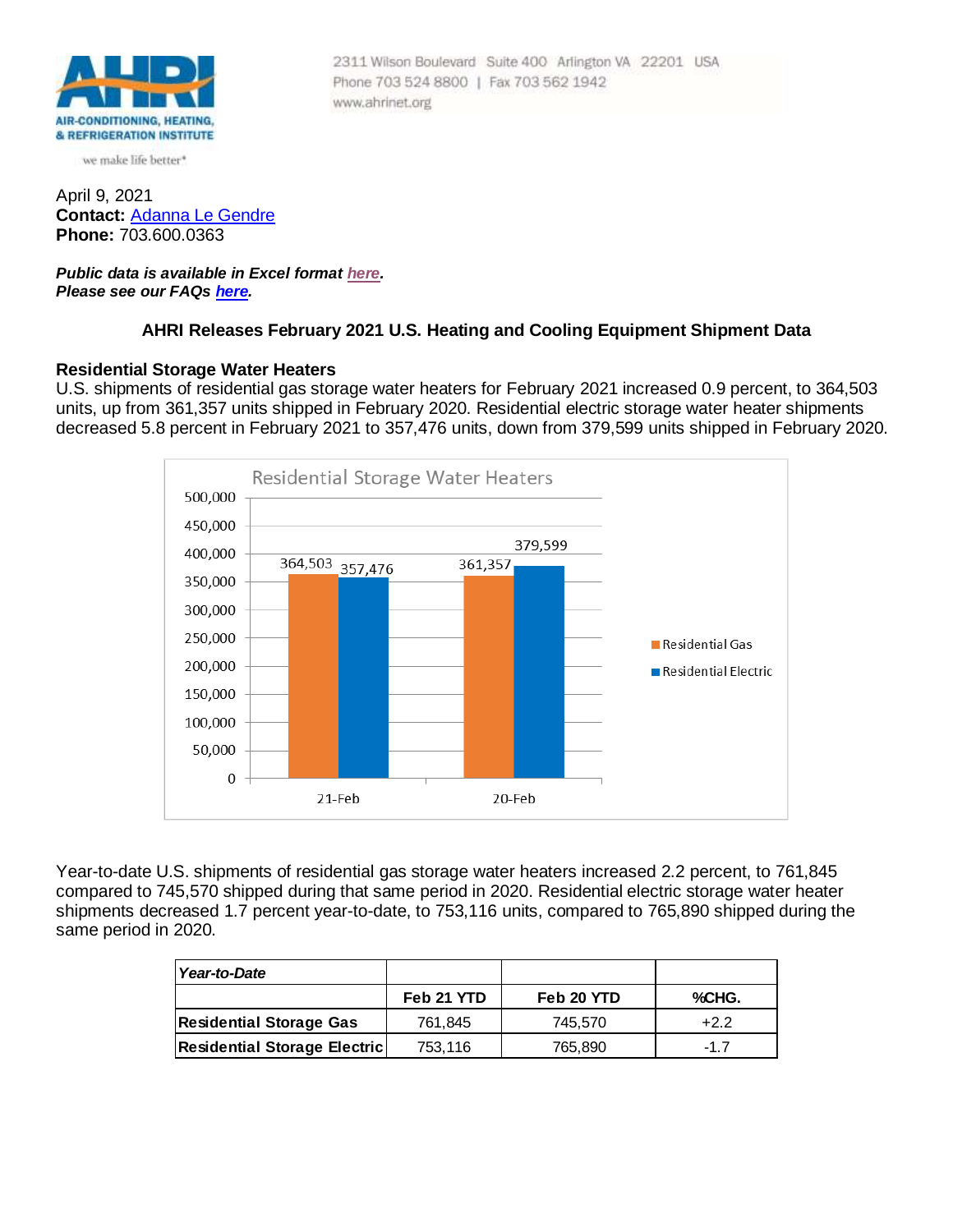

we make life better\*

April 9, 2021 **Contact:** [Adanna Le Gendre](mailto:AleGendre@ahrinet.org) **Phone:** 703.600.0363

### *Public data is available in Excel format [here.](http://www.ahrinet.org/App_Content/ahri/files/Statistics/Monthly%20Shipments/2021/Febuary_2021.xls) Please see our FAQs [here.](#page-4-0)*

## **AHRI Releases February 2021 U.S. Heating and Cooling Equipment Shipment Data**

Phone 703 524 8800 | Fax 703 562 1942

www.ahrinet.org

2311 Wilson Boulevard Suite 400 Arlington VA 22201 USA

### **Residential Storage Water Heaters**

U.S. shipments of residential gas storage water heaters for February 2021 increased 0.9 percent, to 364,503 units, up from 361,357 units shipped in February 2020. Residential electric storage water heater shipments decreased 5.8 percent in February 2021 to 357,476 units, down from 379,599 units shipped in February 2020.



Year-to-date U.S. shipments of residential gas storage water heaters increased 2.2 percent, to 761,845 compared to 745,570 shipped during that same period in 2020. Residential electric storage water heater shipments decreased 1.7 percent year-to-date, to 753,116 units, compared to 765,890 shipped during the same period in 2020.

| Year-to-Date                        |            |            |        |
|-------------------------------------|------------|------------|--------|
|                                     | Feb 21 YTD | Feb 20 YTD | %CHG.  |
| <b>Residential Storage Gas</b>      | 761.845    | 745.570    | $+2.2$ |
| <b>Residential Storage Electric</b> | 753.116    | 765,890    | -17    |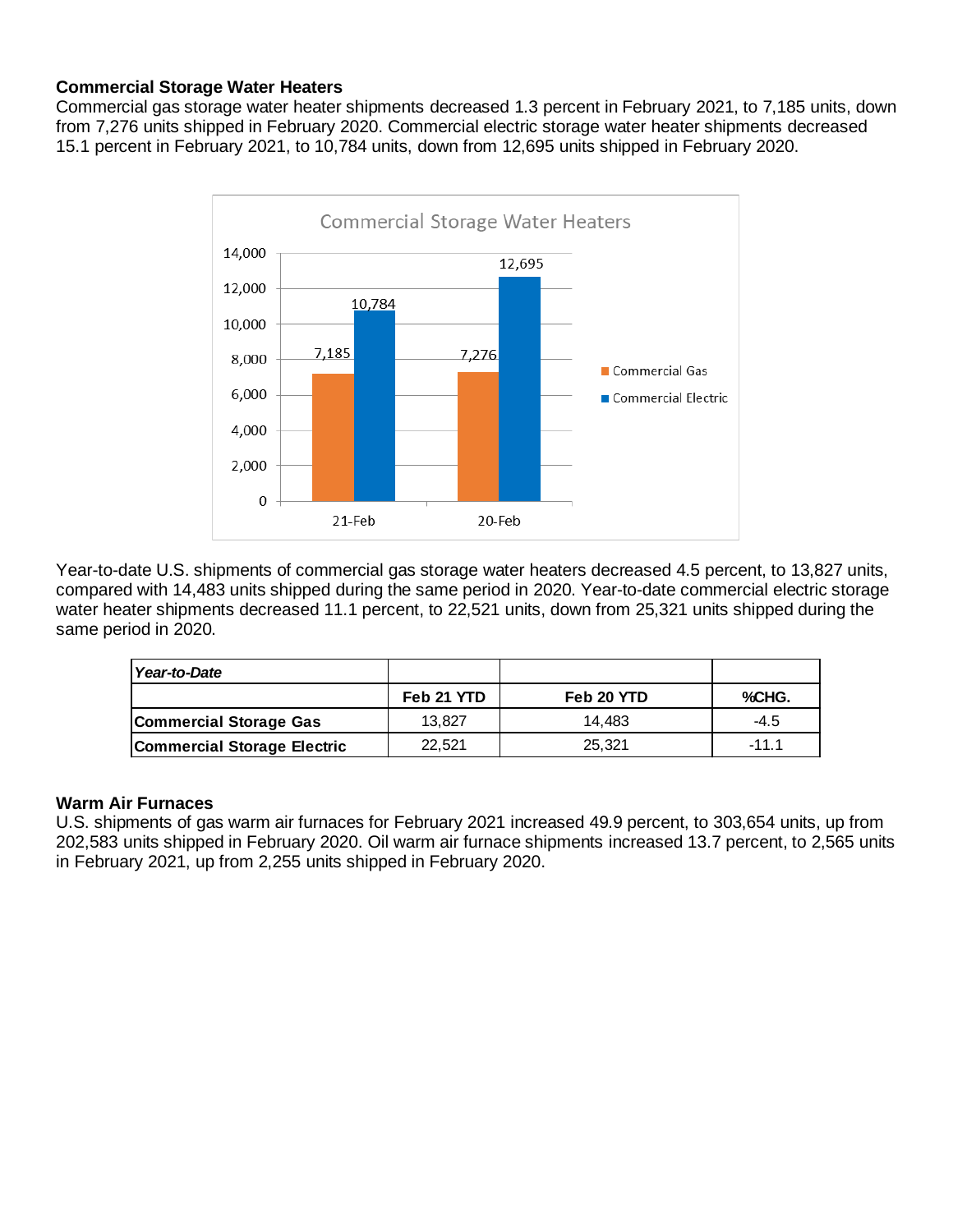# **Commercial Storage Water Heaters**

Commercial gas storage water heater shipments decreased 1.3 percent in February 2021, to 7,185 units, down from 7,276 units shipped in February 2020. Commercial electric storage water heater shipments decreased 15.1 percent in February 2021, to 10,784 units, down from 12,695 units shipped in February 2020.



Year-to-date U.S. shipments of commercial gas storage water heaters decreased 4.5 percent, to 13,827 units, compared with 14,483 units shipped during the same period in 2020. Year-to-date commercial electric storage water heater shipments decreased 11.1 percent, to 22,521 units, down from 25,321 units shipped during the same period in 2020.

| Year-to-Date                       |            |            |         |
|------------------------------------|------------|------------|---------|
|                                    | Feb 21 YTD | Feb 20 YTD | %CHG.   |
| <b>Commercial Storage Gas</b>      | 13.827     | 14.483     | $-4.5$  |
| <b>Commercial Storage Electric</b> | 22.521     | 25.321     | $-11.1$ |

## **Warm Air Furnaces**

U.S. shipments of gas warm air furnaces for February 2021 increased 49.9 percent, to 303,654 units, up from 202,583 units shipped in February 2020. Oil warm air furnace shipments increased 13.7 percent, to 2,565 units in February 2021, up from 2,255 units shipped in February 2020.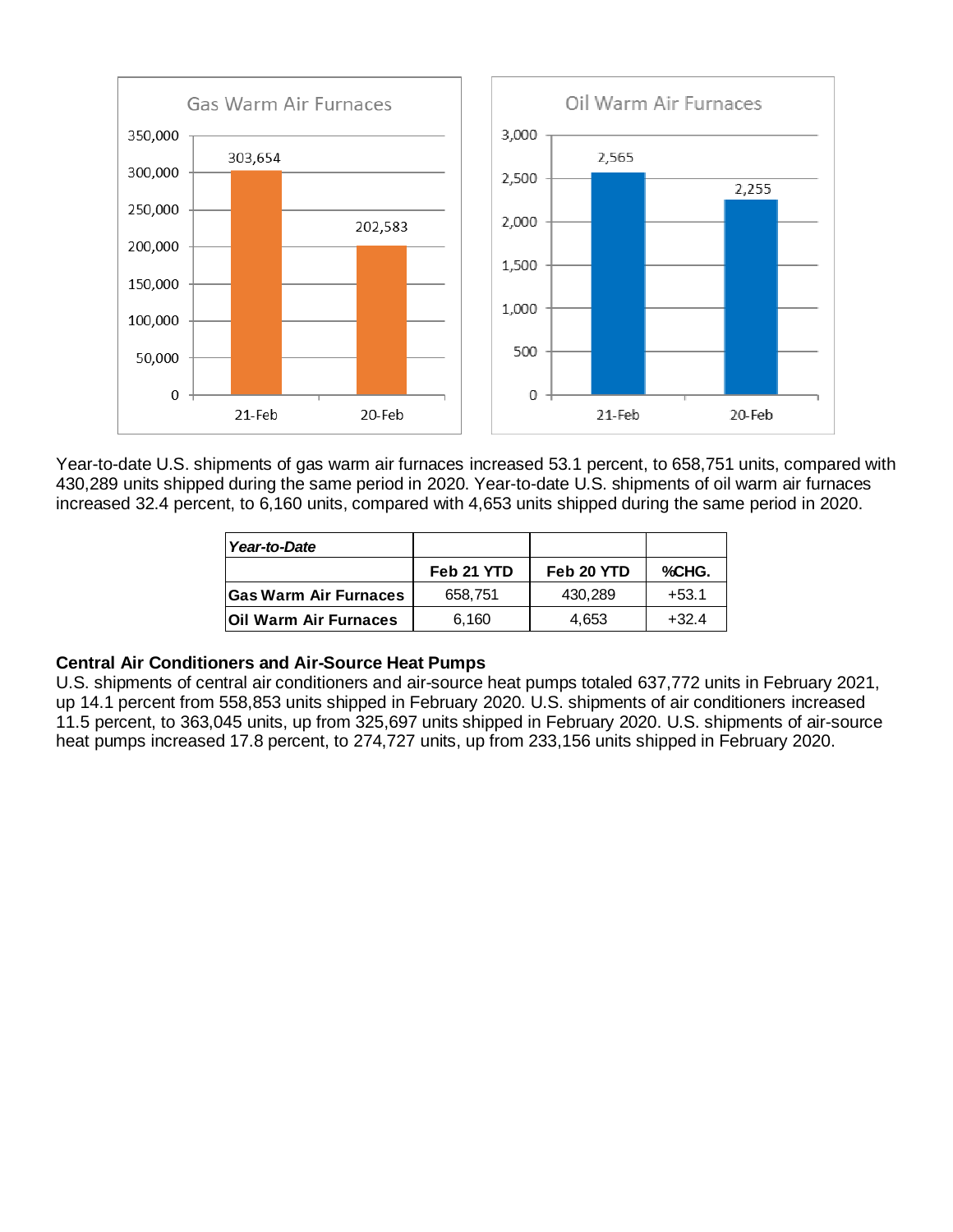

Year-to-date U.S. shipments of gas warm air furnaces increased 53.1 percent, to 658,751 units, compared with 430,289 units shipped during the same period in 2020. Year-to-date U.S. shipments of oil warm air furnaces increased 32.4 percent, to 6,160 units, compared with 4,653 units shipped during the same period in 2020.

| Year-to-Date                 |            |            |         |  |
|------------------------------|------------|------------|---------|--|
|                              | Feb 21 YTD | Feb 20 YTD | %CHG.   |  |
| <b>Gas Warm Air Furnaces</b> | 658.751    | 430.289    | $+53.1$ |  |
| <b>Oil Warm Air Furnaces</b> | 6,160      | 4,653      | $+32.4$ |  |

## **Central Air Conditioners and Air-Source Heat Pumps**

U.S. shipments of central air conditioners and air-source heat pumps totaled 637,772 units in February 2021, up 14.1 percent from 558,853 units shipped in February 2020. U.S. shipments of air conditioners increased 11.5 percent, to 363,045 units, up from 325,697 units shipped in February 2020. U.S. shipments of air-source heat pumps increased 17.8 percent, to 274,727 units, up from 233,156 units shipped in February 2020.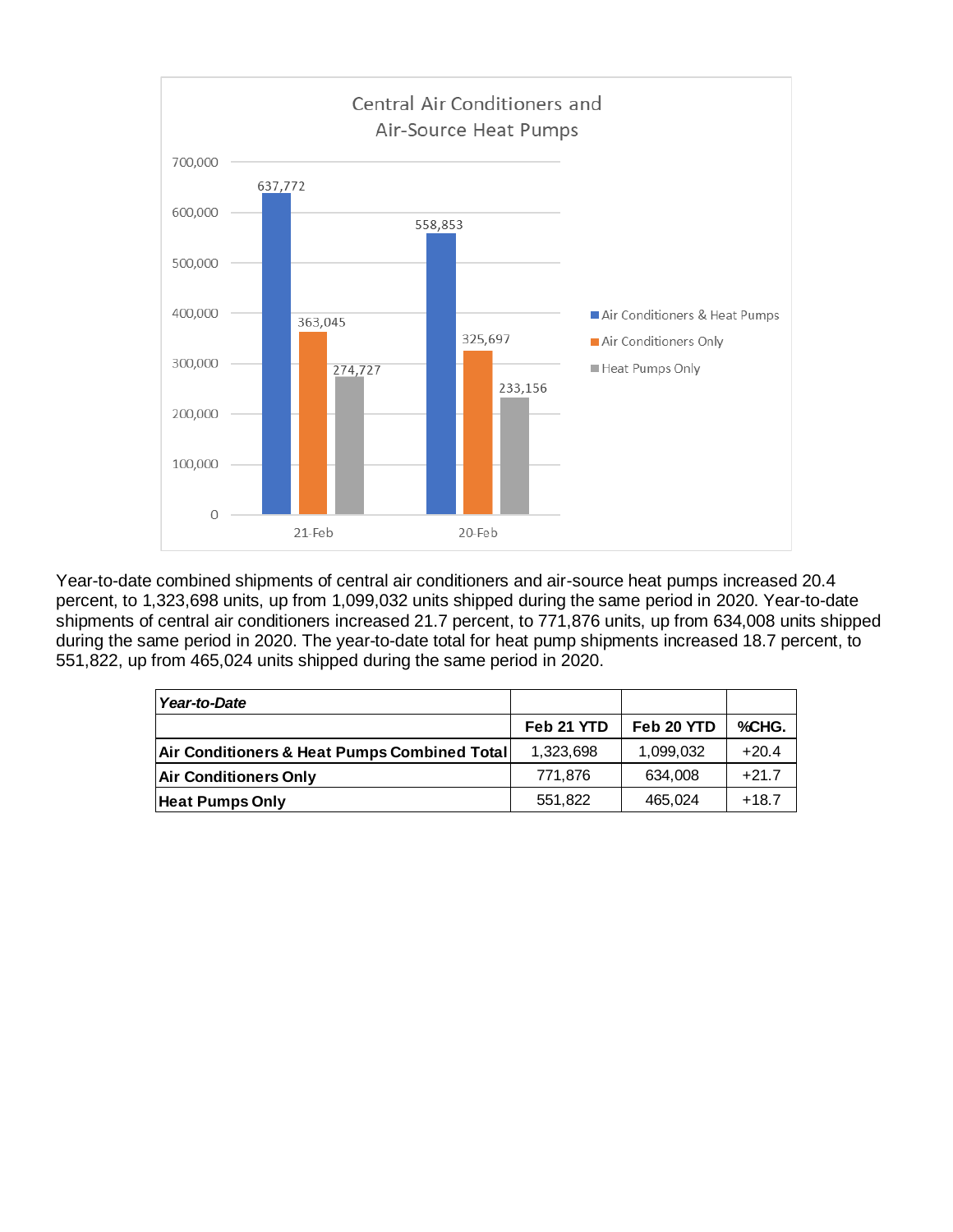

Year-to-date combined shipments of central air conditioners and air-source heat pumps increased 20.4 percent, to 1,323,698 units, up from 1,099,032 units shipped during the same period in 2020. Year-to-date shipments of central air conditioners increased 21.7 percent, to 771,876 units, up from 634,008 units shipped during the same period in 2020. The year-to-date total for heat pump shipments increased 18.7 percent, to 551,822, up from 465,024 units shipped during the same period in 2020.

| Year-to-Date                                 |            |            |         |
|----------------------------------------------|------------|------------|---------|
|                                              | Feb 21 YTD | Feb 20 YTD | %CHG.   |
| Air Conditioners & Heat Pumps Combined Total | 1,323,698  | 1,099,032  | $+20.4$ |
| <b>Air Conditioners Only</b>                 | 771.876    | 634.008    | $+21.7$ |
| <b>Heat Pumps Only</b>                       | 551,822    | 465,024    | $+18.7$ |